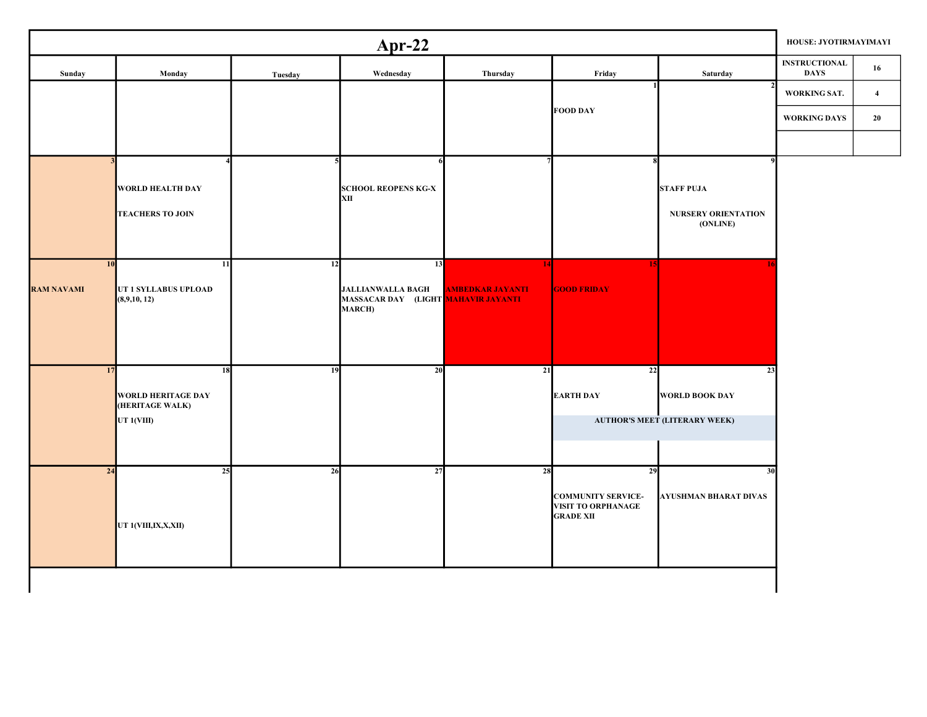|                         |                                                                  |         | $Apr-22$                                                                        |                               |                                                                                  |                                                              | HOUSE: JYOTIRMAYIMAYI               |                         |
|-------------------------|------------------------------------------------------------------|---------|---------------------------------------------------------------------------------|-------------------------------|----------------------------------------------------------------------------------|--------------------------------------------------------------|-------------------------------------|-------------------------|
| Sunday                  | Monday                                                           | Tuesday | Wednesday                                                                       | Thursday                      | Friday                                                                           | Saturday                                                     | <b>INSTRUCTIONAL</b><br><b>DAYS</b> | 16                      |
|                         |                                                                  |         |                                                                                 |                               |                                                                                  |                                                              | WORKING SAT.                        | $\overline{\mathbf{4}}$ |
|                         |                                                                  |         |                                                                                 |                               | <b>FOOD DAY</b>                                                                  |                                                              | <b>WORKING DAYS</b>                 | 20                      |
|                         |                                                                  |         |                                                                                 |                               |                                                                                  |                                                              |                                     |                         |
|                         | <b>WORLD HEALTH DAY</b><br><b>TEACHERS TO JOIN</b>               |         | <b>SCHOOL REOPENS KG-X</b><br>XII                                               |                               |                                                                                  | <b>STAFF PUJA</b><br>NURSERY ORIENTATION<br>(ONLINE)         |                                     |                         |
| 10<br><b>RAM NAVAMI</b> | 11<br>UT 1 SYLLABUS UPLOAD<br>(8,9,10,12)                        | 12      | 13<br><b>JALLIANWALLA BAGH</b><br>MASSACAR DAY (LIGHT MAHAVIR JAYANTI<br>MARCH) | 14<br><b>AMBEDKAR JAYANTI</b> | 15<br><b>GOOD FRIDAY</b>                                                         |                                                              |                                     |                         |
| 17                      | 18<br><b>WORLD HERITAGE DAY</b><br>(HERITAGE WALK)<br>UT 1(VIII) | 19      | 20                                                                              | 21                            | 22<br><b>EARTH DAY</b>                                                           | 23<br>WORLD BOOK DAY<br><b>AUTHOR'S MEET (LITERARY WEEK)</b> |                                     |                         |
| 24                      | 25<br>UT 1(VIII,IX,X,XII)                                        | 26      | 27                                                                              | 28                            | 29<br><b>COMMUNITY SERVICE-</b><br><b>VISIT TO ORPHANAGE</b><br><b>GRADE XII</b> | 30<br><b>AYUSHMAN BHARAT DIVAS</b>                           |                                     |                         |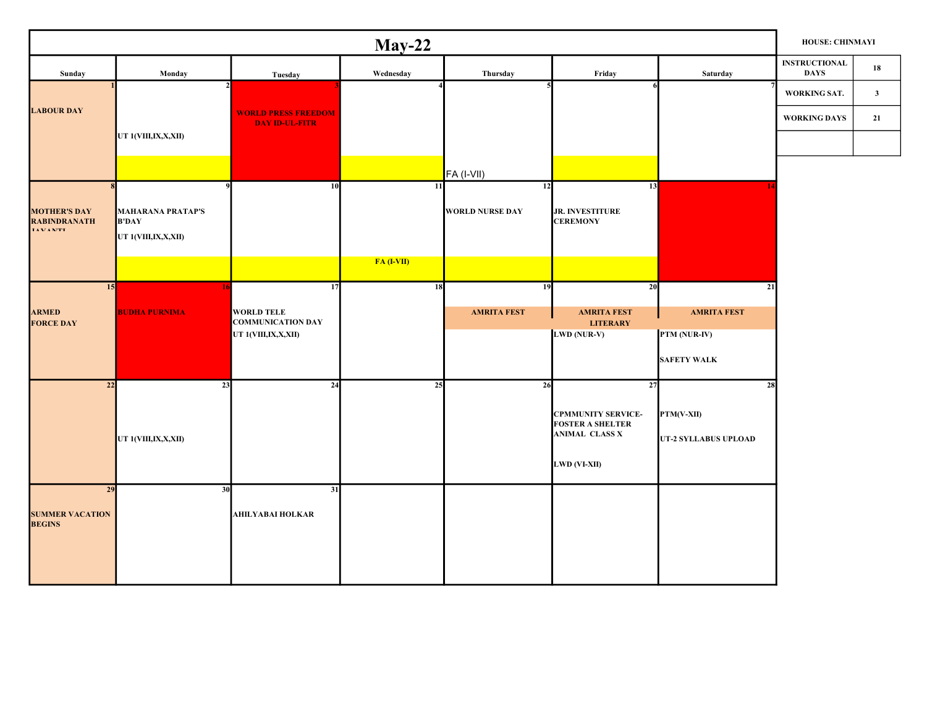|                                                         |                                                                 |                                                                            | $May-22$     |                                           |                                                                                                     |                                                                | HOUSE: CHINMAYI                     |              |
|---------------------------------------------------------|-----------------------------------------------------------------|----------------------------------------------------------------------------|--------------|-------------------------------------------|-----------------------------------------------------------------------------------------------------|----------------------------------------------------------------|-------------------------------------|--------------|
| Sunday                                                  | Monday                                                          | Tuesday                                                                    | Wednesday    | Thursday                                  | Friday                                                                                              | Saturday                                                       | <b>INSTRUCTIONAL</b><br><b>DAYS</b> | 18           |
| <b>LABOUR DAY</b>                                       |                                                                 | <b>WORLD PRESS FREEDOM</b>                                                 |              |                                           |                                                                                                     |                                                                | WORKING SAT.                        | $\mathbf{3}$ |
|                                                         | UT 1(VIII,IX,X,XII)                                             | <b>DAY ID-UL-FITR</b>                                                      |              |                                           |                                                                                                     |                                                                | <b>WORKING DAYS</b>                 | 21           |
|                                                         |                                                                 |                                                                            |              | FA (I-VII)                                |                                                                                                     |                                                                |                                     |              |
| <b>MOTHER'S DAY</b><br><b>RABINDRANATH</b><br>TAXZANITE | <b>MAHARANA PRATAP'S</b><br><b>B'DAY</b><br>UT 1(VIII,IX,X,XII) | 10                                                                         | 11           | $\overline{12}$<br><b>WORLD NURSE DAY</b> | 13<br><b>JR. INVESTITURE</b><br><b>CEREMONY</b>                                                     |                                                                |                                     |              |
|                                                         |                                                                 |                                                                            | $FA (I-VII)$ |                                           |                                                                                                     |                                                                |                                     |              |
| 15<br><b>ARMED</b><br><b>FORCE DAY</b>                  | <b>BUDHA PURNIMA</b>                                            | 17<br><b>WORLD TELE</b><br><b>COMMUNICATION DAY</b><br>UT 1(VIII,IX,X,XII) | 18           | 19<br><b>AMRITA FEST</b>                  | 20<br><b>AMRITA FEST</b><br><b>LITERARY</b><br>LWD (NUR-V)                                          | 21<br><b>AMRITA FEST</b><br>PTM (NUR-IV)<br><b>SAFETY WALK</b> |                                     |              |
| 22                                                      | 23<br>UT 1(VIII,IX,X,XII)                                       | 24                                                                         | 25           | 26                                        | 27<br><b>CPMMUNITY SERVICE-</b><br><b>FOSTER A SHELTER</b><br><b>ANIMAL CLASS X</b><br>LWD (VI-XII) | 28<br>PTM(V-XII)<br>UT-2 SYLLABUS UPLOAD                       |                                     |              |
| 29<br><b>SUMMER VACATION<br/>BEGINS</b>                 | 30                                                              | 31<br><b>AHILYABAI HOLKAR</b>                                              |              |                                           |                                                                                                     |                                                                |                                     |              |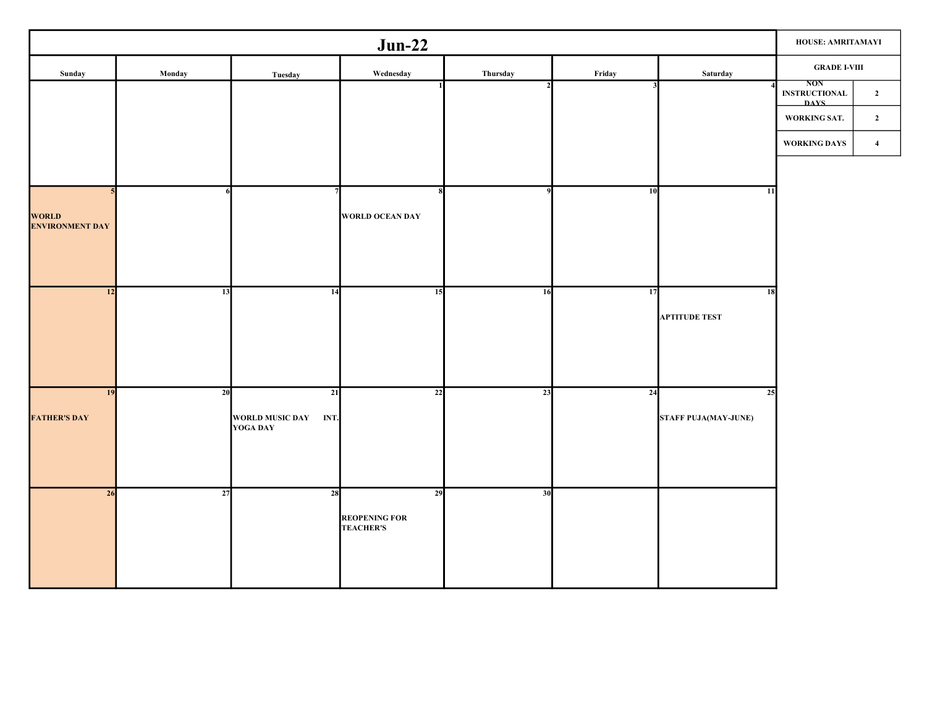|                          |        | HOUSE: AMRITAMAYI                       |                                          |          |        |                             |                                                   |                |
|--------------------------|--------|-----------------------------------------|------------------------------------------|----------|--------|-----------------------------|---------------------------------------------------|----------------|
| Sunday                   | Monday | Tuesday                                 | Wednesday                                | Thursday | Friday | Saturday                    | $\operatorname{GRADE}$ I-VIII                     |                |
|                          |        |                                         |                                          |          |        |                             | <b>NON</b><br><b>INSTRUCTIONAL</b><br><b>DAYS</b> | $\overline{2}$ |
|                          |        |                                         |                                          |          |        |                             | WORKING SAT.                                      | $\mathbf{2}$   |
|                          |        |                                         |                                          |          |        |                             | WORKING DAYS                                      | $\overline{4}$ |
|                          |        |                                         |                                          |          |        |                             |                                                   |                |
|                          |        |                                         |                                          |          | 10     | 11                          |                                                   |                |
| WORLD<br>ENVIRONMENT DAY |        |                                         | WORLD OCEAN DAY                          |          |        |                             |                                                   |                |
|                          |        |                                         |                                          |          |        |                             |                                                   |                |
|                          |        |                                         |                                          |          |        |                             |                                                   |                |
| 12                       | 13     | 14                                      | 15                                       | 16       | 17     | 18                          |                                                   |                |
|                          |        |                                         |                                          |          |        | <b>APTITUDE TEST</b>        |                                                   |                |
|                          |        |                                         |                                          |          |        |                             |                                                   |                |
|                          |        |                                         |                                          |          |        |                             |                                                   |                |
| 19                       | 20     | 21                                      | 22                                       | 23       | 24     | 25                          |                                                   |                |
| <b>FATHER'S DAY</b>      |        | WORLD MUSIC DAY INT.<br><b>YOGA DAY</b> |                                          |          |        | <b>STAFF PUJA(MAY-JUNE)</b> |                                                   |                |
|                          |        |                                         |                                          |          |        |                             |                                                   |                |
|                          |        |                                         |                                          |          |        |                             |                                                   |                |
| 26                       | 27     | 28                                      | 29                                       | 30       |        |                             |                                                   |                |
|                          |        |                                         | <b>REOPENING FOR</b><br><b>TEACHER'S</b> |          |        |                             |                                                   |                |
|                          |        |                                         |                                          |          |        |                             |                                                   |                |
|                          |        |                                         |                                          |          |        |                             |                                                   |                |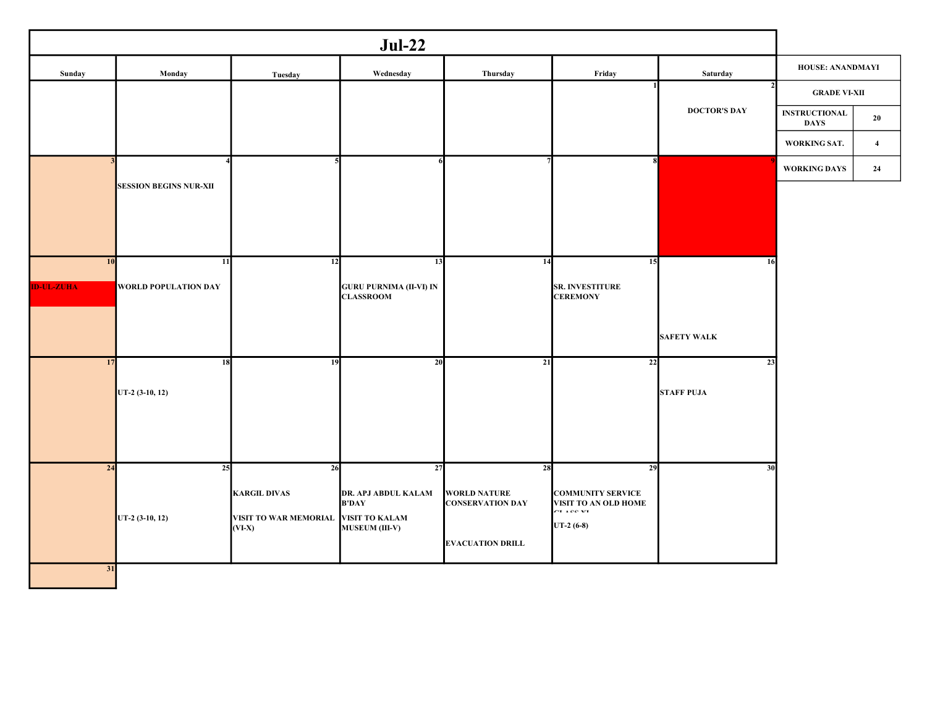|                   |                               |                                   | $Jul-22$                                           |                                                |                                                  |                     |                                     |                |
|-------------------|-------------------------------|-----------------------------------|----------------------------------------------------|------------------------------------------------|--------------------------------------------------|---------------------|-------------------------------------|----------------|
| Sunday            | Monday                        | Tuesday                           | Wednesday                                          | Thursday                                       | Friday                                           | Saturday            | HOUSE: ANANDMAYI                    |                |
|                   |                               |                                   |                                                    |                                                |                                                  |                     | <b>GRADE VI-XII</b>                 |                |
|                   |                               |                                   |                                                    |                                                |                                                  | <b>DOCTOR'S DAY</b> | <b>INSTRUCTIONAL</b><br><b>DAYS</b> | 20             |
|                   |                               |                                   |                                                    |                                                |                                                  |                     | WORKING SAT.                        | $\overline{4}$ |
|                   |                               |                                   |                                                    |                                                | $\mathbf{R}$                                     |                     | <b>WORKING DAYS</b>                 | 24             |
|                   | <b>SESSION BEGINS NUR-XII</b> |                                   |                                                    |                                                |                                                  |                     |                                     |                |
|                   |                               |                                   |                                                    |                                                |                                                  |                     |                                     |                |
|                   |                               |                                   |                                                    |                                                |                                                  |                     |                                     |                |
| 10                | 11                            | 12                                | 13                                                 | 14                                             | 15                                               | 16                  |                                     |                |
| <b>ID-UL-ZUHA</b> | <b>WORLD POPULATION DAY</b>   |                                   | <b>GURU PURNIMA (II-VI) IN</b><br><b>CLASSROOM</b> |                                                | SR. INVESTITURE<br><b>CEREMONY</b>               |                     |                                     |                |
|                   |                               |                                   |                                                    |                                                |                                                  |                     |                                     |                |
|                   |                               |                                   |                                                    |                                                |                                                  | <b>SAFETY WALK</b>  |                                     |                |
| 17                | 18                            | 19                                | 20                                                 | 21                                             | 22                                               | 23                  |                                     |                |
|                   | UT-2 (3-10, 12)               |                                   |                                                    |                                                |                                                  | <b>STAFF PUJA</b>   |                                     |                |
|                   |                               |                                   |                                                    |                                                |                                                  |                     |                                     |                |
|                   |                               |                                   |                                                    |                                                |                                                  |                     |                                     |                |
| 24                | 25                            | 26                                | 27                                                 | 28                                             | 29                                               | 30                  |                                     |                |
|                   |                               | <b>KARGIL DIVAS</b>               | DR. APJ ABDUL KALAM<br><b>B'DAY</b>                | <b>WORLD NATURE</b><br><b>CONSERVATION DAY</b> | <b>COMMUNITY SERVICE</b><br>VISIT TO AN OLD HOME |                     |                                     |                |
|                   | UT-2 (3-10, 12)               | VISIT TO WAR MEMORIAL<br>$(VI-X)$ | <b>VISIT TO KALAM</b><br>MUSEUM (III-V)            |                                                | CT ACC VT<br>$UT-2(6-8)$                         |                     |                                     |                |
|                   |                               |                                   |                                                    | <b>EVACUATION DRILL</b>                        |                                                  |                     |                                     |                |
| 31                |                               |                                   |                                                    |                                                |                                                  |                     |                                     |                |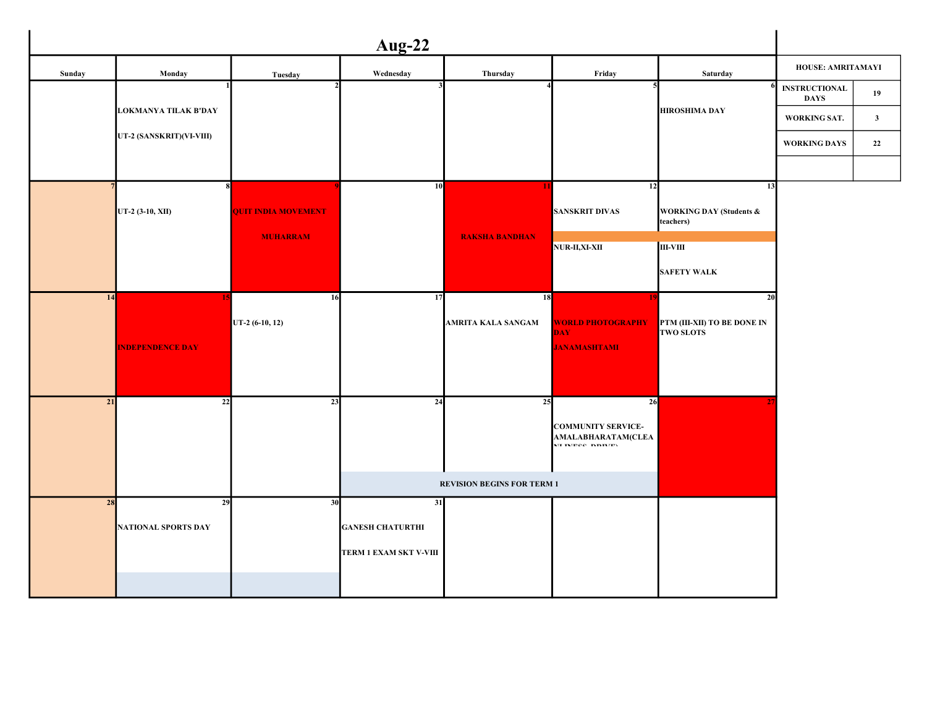|                 |                             |                            | <b>Aug-22</b>           |                                   |                                                                     |                                                 |                                     |              |
|-----------------|-----------------------------|----------------------------|-------------------------|-----------------------------------|---------------------------------------------------------------------|-------------------------------------------------|-------------------------------------|--------------|
| Sunday          | Monday                      | Tuesday                    | Wednesday               | Thursday                          | Friday                                                              | Saturday                                        | HOUSE: AMRITAMAYI                   |              |
|                 |                             |                            |                         |                                   |                                                                     | 6                                               | <b>INSTRUCTIONAL</b><br><b>DAYS</b> | 19           |
|                 | <b>LOKMANYA TILAK B'DAY</b> |                            |                         |                                   |                                                                     | <b>HIROSHIMA DAY</b>                            | WORKING SAT.                        | $\mathbf{3}$ |
|                 | UT-2 (SANSKRIT)(VI-VIII)    |                            |                         |                                   |                                                                     |                                                 | <b>WORKING DAYS</b>                 | 22           |
|                 |                             |                            |                         |                                   |                                                                     |                                                 |                                     |              |
|                 | $\boldsymbol{\mathsf{R}}$   |                            | 10                      | 1                                 | 12                                                                  | 13                                              |                                     |              |
|                 | UT-2 (3-10, XII)            | <b>QUIT INDIA MOVEMENT</b> |                         |                                   | <b>SANSKRIT DIVAS</b>                                               | <b>WORKING DAY (Students &amp;</b><br>teachers) |                                     |              |
|                 |                             | <b>MUHARRAM</b>            |                         | <b>RAKSHA BANDHAN</b>             | <b>NUR-II,XI-XII</b>                                                | III-VIII                                        |                                     |              |
|                 |                             |                            |                         |                                   |                                                                     | <b>SAFETY WALK</b>                              |                                     |              |
| 14              |                             | 16                         | 17                      | 18                                |                                                                     | 20                                              |                                     |              |
|                 |                             | UT-2 (6-10, 12)            |                         | AMRITA KALA SANGAM                | <b>WORLD PHOTOGRAPHY</b>                                            | PTM (III-XII) TO BE DONE IN                     |                                     |              |
|                 | <b>INDEPENDENCE DAY</b>     |                            |                         |                                   | <b>DAY</b><br><b>JANAMASHTAMI</b>                                   | <b>TWO SLOTS</b>                                |                                     |              |
|                 |                             |                            |                         |                                   |                                                                     |                                                 |                                     |              |
| $\overline{21}$ |                             | 23                         | 24                      | 25                                |                                                                     |                                                 |                                     |              |
|                 | 22                          |                            |                         |                                   | 26                                                                  |                                                 |                                     |              |
|                 |                             |                            |                         |                                   | <b>COMMUNITY SERVICE-</b><br>AMALABHARATAM(CLEA<br>ME IMPOC IMBIUDY |                                                 |                                     |              |
|                 |                             |                            |                         |                                   |                                                                     |                                                 |                                     |              |
|                 |                             |                            |                         | <b>REVISION BEGINS FOR TERM 1</b> |                                                                     |                                                 |                                     |              |
| 28              | 29                          | 30                         | 31                      |                                   |                                                                     |                                                 |                                     |              |
|                 | <b>NATIONAL SPORTS DAY</b>  |                            | <b>GANESH CHATURTHI</b> |                                   |                                                                     |                                                 |                                     |              |
|                 |                             |                            | TERM 1 EXAM SKT V-VIII  |                                   |                                                                     |                                                 |                                     |              |
|                 |                             |                            |                         |                                   |                                                                     |                                                 |                                     |              |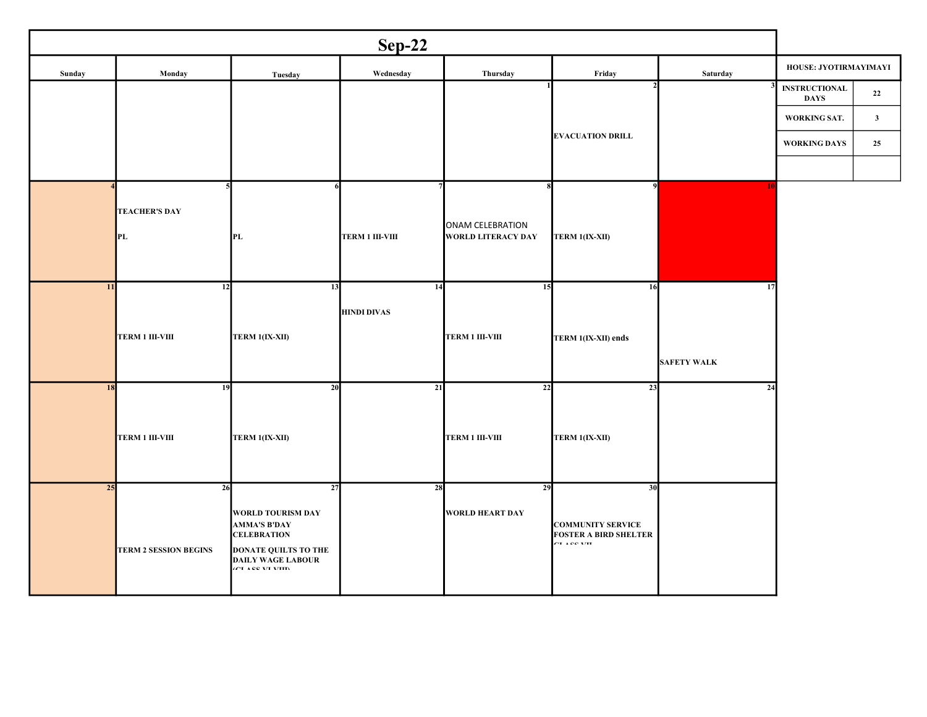| $Sep-22$ |                                    |                                                                                                                                                            |                          |                                               |                                                                                |                          |                                     |              |  |  |
|----------|------------------------------------|------------------------------------------------------------------------------------------------------------------------------------------------------------|--------------------------|-----------------------------------------------|--------------------------------------------------------------------------------|--------------------------|-------------------------------------|--------------|--|--|
| Sunday   | Monday                             | Tuesday                                                                                                                                                    | Wednesday                | Thursday                                      | Friday                                                                         | Saturday                 | HOUSE: JYOTIRMAYIMAYI               |              |  |  |
|          |                                    |                                                                                                                                                            |                          |                                               |                                                                                |                          | <b>INSTRUCTIONAL</b><br><b>DAYS</b> | 22           |  |  |
|          |                                    |                                                                                                                                                            |                          |                                               |                                                                                |                          | WORKING SAT.                        | $\mathbf{3}$ |  |  |
|          |                                    |                                                                                                                                                            |                          |                                               | <b>EVACUATION DRILL</b>                                                        |                          | <b>WORKING DAYS</b>                 | 25           |  |  |
|          |                                    |                                                                                                                                                            |                          |                                               |                                                                                |                          |                                     |              |  |  |
|          | <b>TEACHER'S DAY</b><br>PL         | PL                                                                                                                                                         | <b>TERM 1 III-VIII</b>   | ONAM CELEBRATION<br><b>WORLD LITERACY DAY</b> | q<br>TERM 1(IX-XII)                                                            | 10                       |                                     |              |  |  |
| 11       | 12<br><b>TERM 1 III-VIII</b>       | 13<br>TERM 1(IX-XII)                                                                                                                                       | 14<br><b>HINDI DIVAS</b> | 15<br><b>TERM 1 III-VIII</b>                  | 16<br>TERM 1(IX-XII) ends                                                      | 17<br><b>SAFETY WALK</b> |                                     |              |  |  |
| 18       | 19<br><b>TERM 1 III-VIII</b>       | 20<br>TERM 1(IX-XII)                                                                                                                                       | 21                       | 22<br><b>TERM 1 III-VIII</b>                  | 23<br>TERM 1(IX-XII)                                                           | 24                       |                                     |              |  |  |
| 25       | 26<br><b>TERM 2 SESSION BEGINS</b> | 27<br><b>WORLD TOURISM DAY</b><br><b>AMMA'S B'DAY</b><br><b>CELEBRATION</b><br><b>DONATE QUILTS TO THE</b><br><b>DAILY WAGE LABOUR</b><br>GUL LEE VILVIIIV | 28                       | 29<br><b>WORLD HEART DAY</b>                  | 30<br><b>COMMUNITY SERVICE</b><br><b>FOSTER A BIRD SHELTER</b><br>OT A OO XIIT |                          |                                     |              |  |  |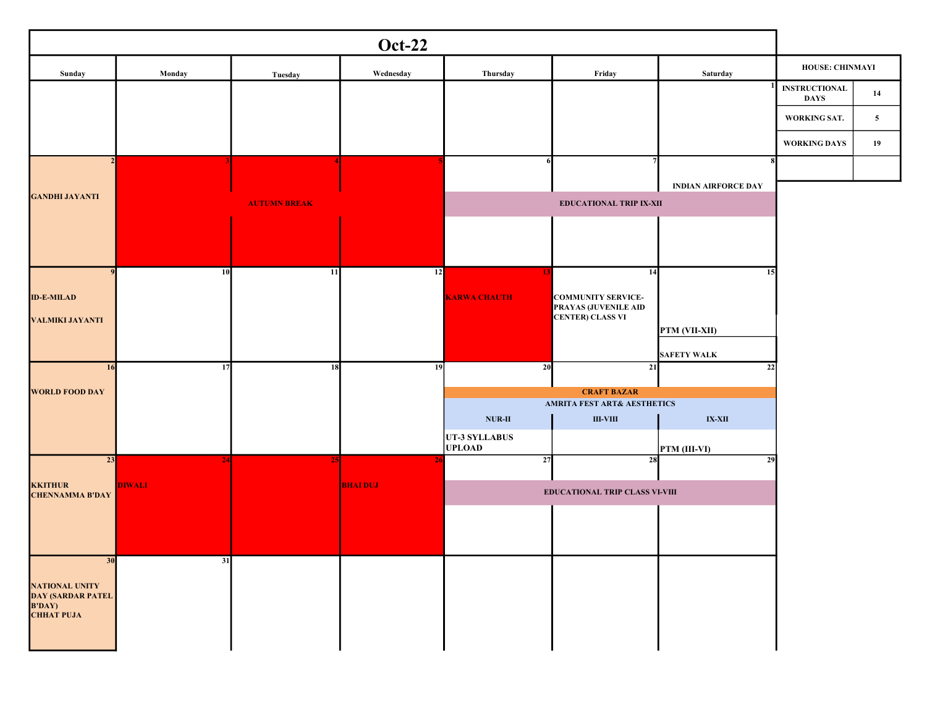|                                                   |               |                     | <b>Oct-22</b>  |                                |                                                 |                            |                                     |              |
|---------------------------------------------------|---------------|---------------------|----------------|--------------------------------|-------------------------------------------------|----------------------------|-------------------------------------|--------------|
| Sunday                                            | Monday        | Tuesday             | Wednesday      | Thursday                       | Friday                                          | Saturday                   | HOUSE: CHINMAYI                     |              |
|                                                   |               |                     |                |                                |                                                 |                            | <b>INSTRUCTIONAL</b><br><b>DAYS</b> | 14           |
|                                                   |               |                     |                |                                |                                                 |                            | WORKING SAT.                        | $\mathbf{5}$ |
|                                                   |               |                     |                |                                |                                                 |                            | <b>WORKING DAYS</b>                 | 19           |
|                                                   |               |                     |                |                                |                                                 |                            |                                     |              |
| <b>GANDHI JAYANTI</b>                             |               | <b>AUTUMN BREAK</b> |                |                                | <b>EDUCATIONAL TRIP IX-XII</b>                  | <b>INDIAN AIRFORCE DAY</b> |                                     |              |
|                                                   |               |                     |                |                                |                                                 |                            |                                     |              |
|                                                   |               |                     |                |                                |                                                 |                            |                                     |              |
|                                                   | 10            | 11                  | 12             |                                | 14                                              | 15                         |                                     |              |
| <b>ID-E-MILAD</b>                                 |               |                     |                | <b>KARWA CHAUTH</b>            | <b>COMMUNITY SERVICE-</b>                       |                            |                                     |              |
| VALMIKI JAYANTI                                   |               |                     |                |                                | PRAYAS (JUVENILE AID<br><b>CENTER) CLASS VI</b> |                            |                                     |              |
|                                                   |               |                     |                |                                |                                                 | PTM (VII-XII)              |                                     |              |
| 16                                                | 17            | 18                  | 19             | 20                             | 21                                              | <b>SAFETY WALK</b><br> 22  |                                     |              |
| <b>WORLD FOOD DAY</b>                             |               |                     |                |                                | <b>CRAFT BAZAR</b>                              |                            |                                     |              |
|                                                   |               |                     |                |                                | <b>AMRITA FEST ART&amp; AESTHETICS</b>          |                            |                                     |              |
|                                                   |               |                     |                | $NUR-II$                       | $\textbf{III-VIII}$                             | $IX-XII$                   |                                     |              |
|                                                   |               |                     |                | UT-3 SYLLABUS<br><b>UPLOAD</b> |                                                 | PTM (III-VI)               |                                     |              |
| 23                                                | 24            |                     | 2 <sub>0</sub> | 27                             | 28                                              | 29                         |                                     |              |
| <b>KKITHUR</b><br><b>CHENNAMMA B'DAY</b>          | <b>DIWALI</b> |                     | <b>BHAIDUJ</b> |                                | <b>EDUCATIONAL TRIP CLASS VI-VIII</b>           |                            |                                     |              |
|                                                   |               |                     |                |                                |                                                 |                            |                                     |              |
|                                                   |               |                     |                |                                |                                                 |                            |                                     |              |
| 30                                                | 31            |                     |                |                                |                                                 |                            |                                     |              |
| <b>NATIONAL UNITY</b><br><b>DAY (SARDAR PATEL</b> |               |                     |                |                                |                                                 |                            |                                     |              |
| <b>B'DAY</b> )<br><b>CHHAT PUJA</b>               |               |                     |                |                                |                                                 |                            |                                     |              |
|                                                   |               |                     |                |                                |                                                 |                            |                                     |              |
|                                                   |               |                     |                |                                |                                                 |                            |                                     |              |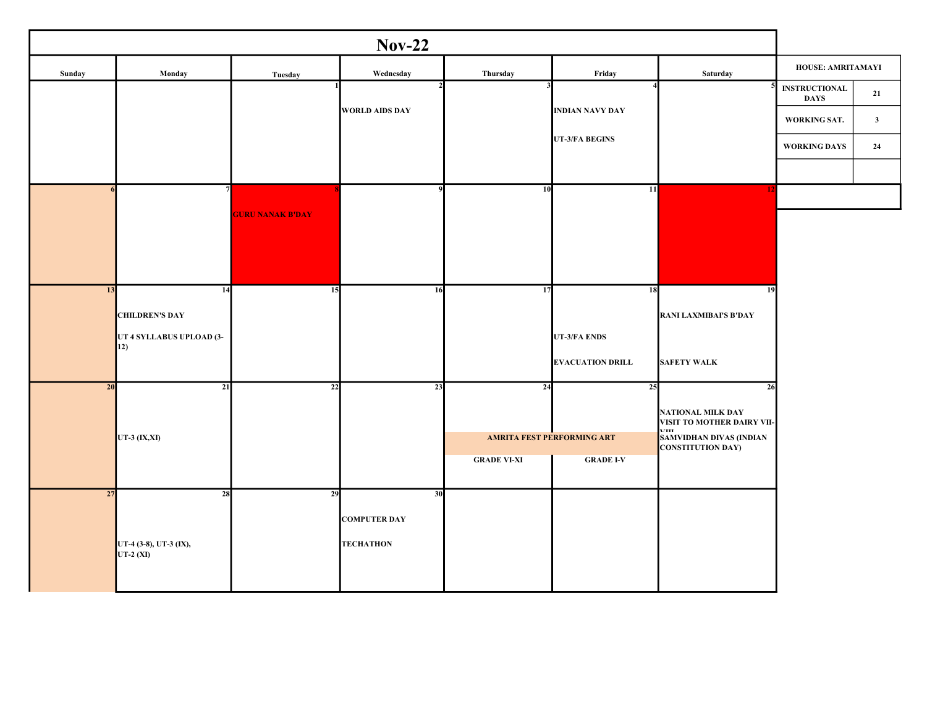|        |                                                   |                         | $Nov-22$              |                    |                            |                                                                            |                                     |              |
|--------|---------------------------------------------------|-------------------------|-----------------------|--------------------|----------------------------|----------------------------------------------------------------------------|-------------------------------------|--------------|
| Sunday | Monday                                            | Tuesday                 | Wednesday             | Thursday           | Friday                     | Saturday                                                                   | HOUSE: AMRITAMAYI                   |              |
|        |                                                   |                         |                       |                    |                            |                                                                            | <b>INSTRUCTIONAL</b><br><b>DAYS</b> | 21           |
|        |                                                   |                         | <b>WORLD AIDS DAY</b> |                    | <b>INDIAN NAVY DAY</b>     |                                                                            | WORKING SAT.                        | $\mathbf{3}$ |
|        |                                                   |                         |                       |                    | UT-3/FA BEGINS             |                                                                            | WORKING DAYS                        | 24           |
|        |                                                   |                         |                       |                    |                            |                                                                            |                                     |              |
|        |                                                   |                         |                       | 10                 | 11                         | 17                                                                         |                                     |              |
|        |                                                   | <b>GURU NANAK B'DAY</b> |                       |                    |                            |                                                                            |                                     |              |
|        |                                                   |                         |                       |                    |                            |                                                                            |                                     |              |
|        |                                                   |                         |                       |                    |                            |                                                                            |                                     |              |
| 13     | 14                                                | 15                      | 16                    | 17                 | 18                         | 19                                                                         |                                     |              |
|        | <b>CHILDREN'S DAY</b><br>UT 4 SYLLABUS UPLOAD (3- |                         |                       |                    | <b>UT-3/FA ENDS</b>        | <b>RANI LAXMIBAI'S B'DAY</b>                                               |                                     |              |
|        | 12)                                               |                         |                       |                    | <b>EVACUATION DRILL</b>    | <b>SAFETY WALK</b>                                                         |                                     |              |
| 20     | 21                                                | 22                      | 23                    | 24                 | 25                         | 26                                                                         |                                     |              |
|        |                                                   |                         |                       |                    |                            | <b>NATIONAL MILK DAY</b><br>VISIT TO MOTHER DAIRY VII-                     |                                     |              |
|        | UT-3 (IX,XI)                                      |                         |                       |                    | AMRITA FEST PERFORMING ART | <b>A7TTT</b><br><b>SAMVIDHAN DIVAS (INDIAN</b><br><b>CONSTITUTION DAY)</b> |                                     |              |
|        |                                                   |                         |                       | <b>GRADE VI-XI</b> | <b>GRADE I-V</b>           |                                                                            |                                     |              |
| 27     | 28                                                | 29                      | 30                    |                    |                            |                                                                            |                                     |              |
|        |                                                   |                         | <b>COMPUTER DAY</b>   |                    |                            |                                                                            |                                     |              |
|        | UT-4 (3-8), UT-3 (IX),<br>UT-2 $(XI)$             |                         | <b>TECHATHON</b>      |                    |                            |                                                                            |                                     |              |
|        |                                                   |                         |                       |                    |                            |                                                                            |                                     |              |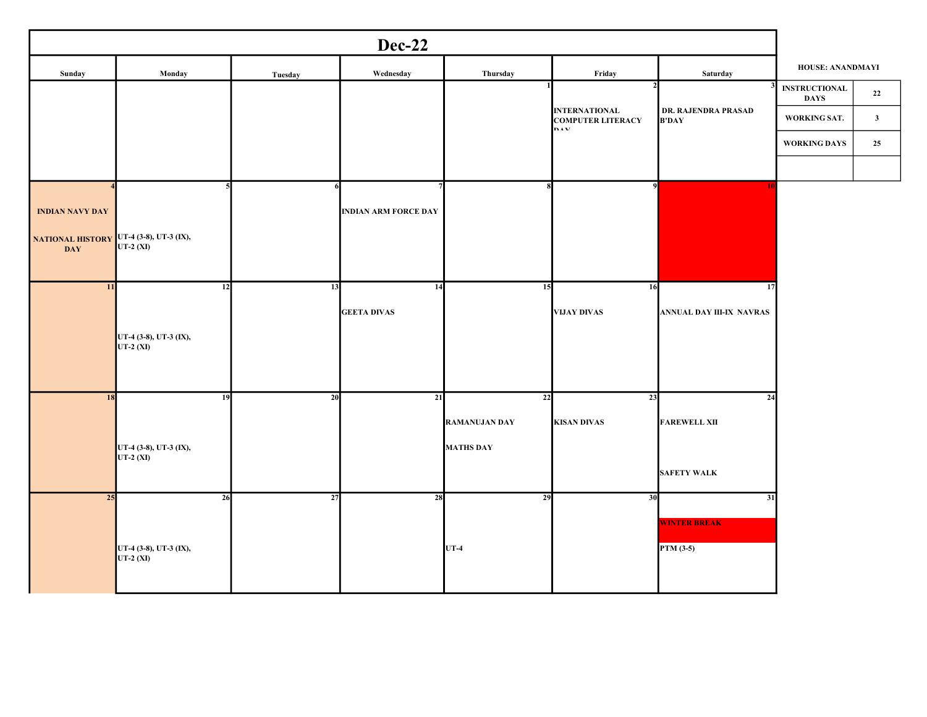| Sunday                                                | Monday                               | Tuesday | Wednesday                   | Thursday             | Friday                                                         | Saturday                            | HOUSE: ANANDMAYI                    |                |
|-------------------------------------------------------|--------------------------------------|---------|-----------------------------|----------------------|----------------------------------------------------------------|-------------------------------------|-------------------------------------|----------------|
|                                                       |                                      |         |                             |                      |                                                                |                                     | <b>INSTRUCTIONAL</b><br><b>DAYS</b> | 22             |
|                                                       |                                      |         |                             |                      | <b>INTERNATIONAL</b><br><b>COMPUTER LITERACY</b><br><b>DAV</b> | DR. RAJENDRA PRASAD<br><b>B'DAY</b> | WORKING SAT.                        | 3 <sup>1</sup> |
|                                                       |                                      |         |                             |                      |                                                                |                                     | WORKING DAYS                        | 25             |
|                                                       |                                      |         |                             |                      |                                                                |                                     |                                     |                |
| <b>INDIAN NAVY DAY</b>                                |                                      |         | <b>INDIAN ARM FORCE DAY</b> |                      | $\mathbf{o}$                                                   |                                     |                                     |                |
| NATIONAL HISTORY UT-4 (3-8), UT-3 (IX),<br><b>DAY</b> | UT-2 (XI)                            |         |                             |                      |                                                                |                                     |                                     |                |
| 11                                                    | 12                                   | 13      | 14                          | 15                   | 16                                                             | 17                                  |                                     |                |
|                                                       |                                      |         | <b>GEETA DIVAS</b>          |                      | <b>VIJAY DIVAS</b>                                             | ANNUAL DAY III-IX NAVRAS            |                                     |                |
|                                                       | UT-4 (3-8), UT-3 (IX),<br>$UT-2(XI)$ |         |                             |                      |                                                                |                                     |                                     |                |
| 18                                                    | 19                                   | 20      | 21                          | 22                   | 23                                                             | 24                                  |                                     |                |
|                                                       |                                      |         |                             | <b>RAMANUJAN DAY</b> | <b>KISAN DIVAS</b>                                             | <b>FAREWELL XII</b>                 |                                     |                |
|                                                       | UT-4 (3-8), UT-3 (IX),<br>UT-2 (XI)  |         |                             | <b>MATHS DAY</b>     |                                                                |                                     |                                     |                |
|                                                       |                                      |         |                             |                      |                                                                | <b>SAFETY WALK</b>                  |                                     |                |
| 25                                                    | 26                                   | 27      | 28                          | 29                   | 30                                                             | 31                                  |                                     |                |
|                                                       |                                      |         |                             |                      |                                                                | <b>WINTER BREAK</b>                 |                                     |                |
|                                                       | UT-4 (3-8), UT-3 (IX),<br>UT-2 (XI)  |         |                             | $UT-4$               |                                                                | PTM (3-5)                           |                                     |                |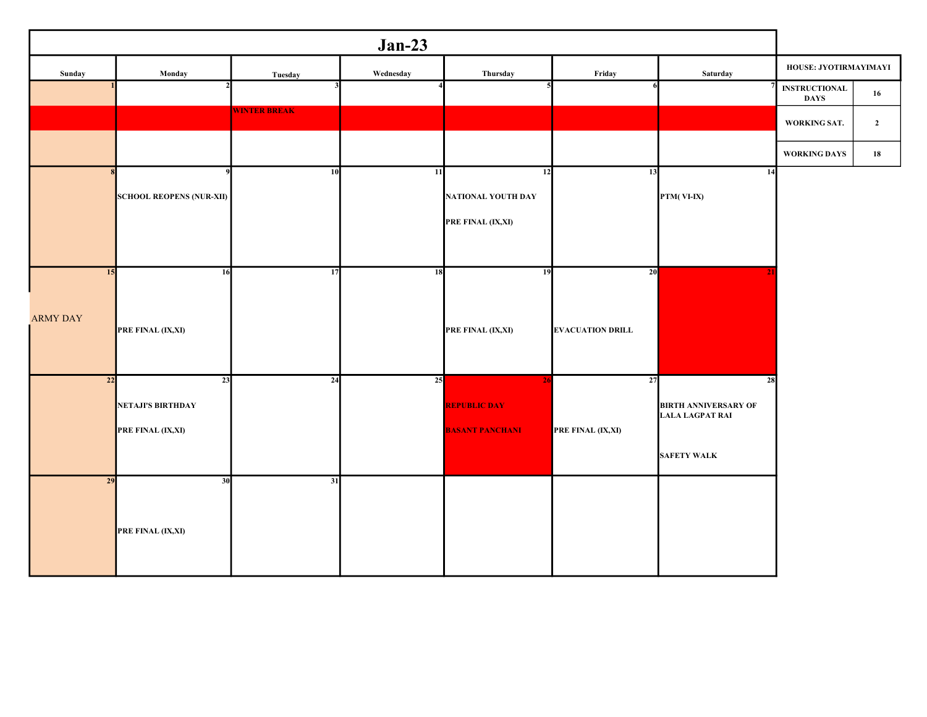| $Jan-23$              |                                                     |                     |           |                                                                 |                               |                                                                                   |                                     |                |  |  |
|-----------------------|-----------------------------------------------------|---------------------|-----------|-----------------------------------------------------------------|-------------------------------|-----------------------------------------------------------------------------------|-------------------------------------|----------------|--|--|
| Sunday                | Monday                                              | Tuesday             | Wednesday | Thursday                                                        | Friday                        | Saturday                                                                          | HOUSE: JYOTIRMAYIMAYI               |                |  |  |
|                       |                                                     |                     |           |                                                                 |                               |                                                                                   | <b>INSTRUCTIONAL</b><br><b>DAYS</b> | 16             |  |  |
|                       |                                                     | <b>WINTER BREAK</b> |           |                                                                 |                               |                                                                                   | WORKING SAT.                        | $\overline{2}$ |  |  |
|                       |                                                     |                     |           |                                                                 |                               |                                                                                   | WORKING DAYS                        | 18             |  |  |
|                       | <b>SCHOOL REOPENS (NUR-XII)</b>                     | 10                  | 11        | 12<br>NATIONAL YOUTH DAY<br>PRE FINAL (IX,XI)                   | 13                            | 14<br>PTM(VI-IX)                                                                  |                                     |                |  |  |
| 15<br><b>ARMY DAY</b> | 16<br>PRE FINAL (IX,XI)                             | 17                  | 18        | 19<br>PRE FINAL (IX,XI)                                         | 20<br><b>EVACUATION DRILL</b> |                                                                                   |                                     |                |  |  |
| 22                    | 23<br><b>NETAJI'S BIRTHDAY</b><br>PRE FINAL (IX,XI) | 24                  | 25        | 2 <sub>l</sub><br><b>REPUBLIC DAY</b><br><b>BASANT PANCHANI</b> | 27<br>PRE FINAL (IX,XI)       | 28<br><b>BIRTH ANNIVERSARY OF</b><br><b>LALA LAGPAT RAI</b><br><b>SAFETY WALK</b> |                                     |                |  |  |
| 29                    | 30<br>PRE FINAL (IX,XI)                             | 31                  |           |                                                                 |                               |                                                                                   |                                     |                |  |  |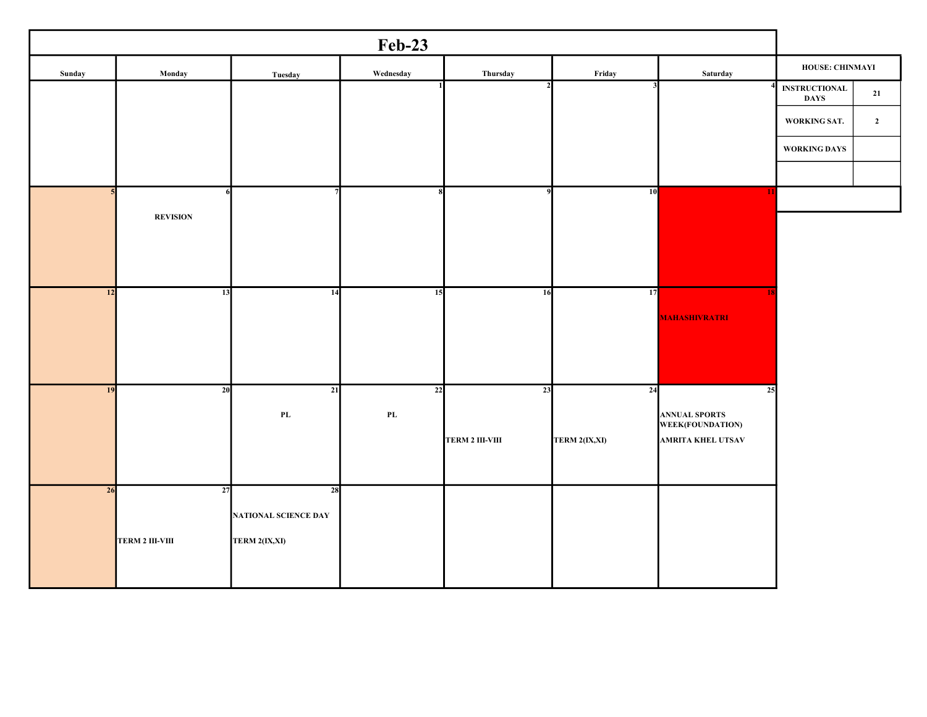|                                                                |                                          | <b>Feb-23</b> |                        |                        |                        |                 |           |  |  |  |  |  |
|----------------------------------------------------------------|------------------------------------------|---------------|------------------------|------------------------|------------------------|-----------------|-----------|--|--|--|--|--|
| HOUSE: CHINMAYI                                                | Saturday                                 | Friday        | Thursday               | Wednesday              | Tuesday                | Monday          | Sunday    |  |  |  |  |  |
| $\textcolor{red}{\textbf{INSTRUCTIONAL}}$<br>21<br><b>DAYS</b> |                                          |               |                        |                        |                        |                 |           |  |  |  |  |  |
| WORKING SAT.<br>$\overline{2}$                                 |                                          |               |                        |                        |                        |                 |           |  |  |  |  |  |
| WORKING DAYS                                                   |                                          |               |                        |                        |                        |                 |           |  |  |  |  |  |
|                                                                |                                          |               |                        |                        |                        |                 |           |  |  |  |  |  |
|                                                                | -11                                      | 10            |                        |                        |                        |                 |           |  |  |  |  |  |
|                                                                |                                          |               |                        |                        |                        | <b>REVISION</b> |           |  |  |  |  |  |
|                                                                |                                          |               |                        |                        |                        |                 |           |  |  |  |  |  |
|                                                                |                                          |               |                        |                        |                        |                 |           |  |  |  |  |  |
|                                                                |                                          | 17            | 16                     | 15                     | 14                     | 13              | 12        |  |  |  |  |  |
|                                                                | <b>MAHASHIVRATRI</b>                     |               |                        |                        |                        |                 |           |  |  |  |  |  |
|                                                                |                                          |               |                        |                        |                        |                 |           |  |  |  |  |  |
|                                                                |                                          |               |                        |                        |                        |                 |           |  |  |  |  |  |
|                                                                | 25                                       | 24            | 23                     | 22                     | 21                     | $\overline{20}$ | <b>19</b> |  |  |  |  |  |
|                                                                | <b>ANNUAL SPORTS</b><br>WEEK(FOUNDATION) |               |                        | $\mathbf{P}\mathbf{L}$ | $\mathbf{P}\mathbf{L}$ |                 |           |  |  |  |  |  |
|                                                                | <b>AMRITA KHEL UTSAV</b>                 | TERM 2(IX,XI) | <b>TERM 2 III-VIII</b> |                        |                        |                 |           |  |  |  |  |  |
|                                                                |                                          |               |                        |                        |                        |                 |           |  |  |  |  |  |
|                                                                |                                          |               |                        |                        | 28                     | 27              | 26        |  |  |  |  |  |
|                                                                |                                          |               |                        |                        | NATIONAL SCIENCE DAY   |                 |           |  |  |  |  |  |
|                                                                |                                          |               |                        |                        | TERM 2(IX,XI)          | TERM 2 III-VIII |           |  |  |  |  |  |
|                                                                |                                          |               |                        |                        |                        |                 |           |  |  |  |  |  |
|                                                                |                                          |               |                        |                        |                        |                 |           |  |  |  |  |  |